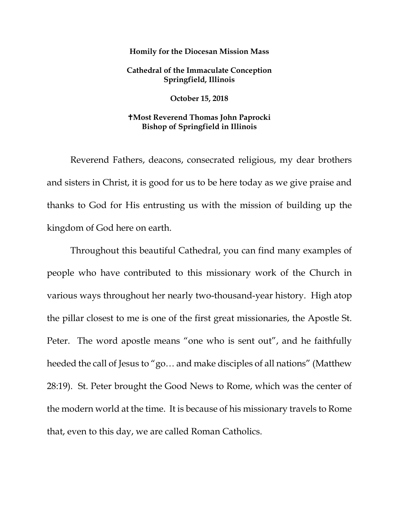## **Homily for the Diocesan Mission Mass**

## **Cathedral of the Immaculate Conception Springfield, Illinois**

**October 15, 2018**

## **Most Reverend Thomas John Paprocki Bishop of Springfield in Illinois**

Reverend Fathers, deacons, consecrated religious, my dear brothers and sisters in Christ, it is good for us to be here today as we give praise and thanks to God for His entrusting us with the mission of building up the kingdom of God here on earth.

Throughout this beautiful Cathedral, you can find many examples of people who have contributed to this missionary work of the Church in various ways throughout her nearly two-thousand-year history. High atop the pillar closest to me is one of the first great missionaries, the Apostle St. Peter. The word apostle means "one who is sent out", and he faithfully heeded the call of Jesus to "go… and make disciples of all nations" (Matthew 28:19). St. Peter brought the Good News to Rome, which was the center of the modern world at the time. It is because of his missionary travels to Rome that, even to this day, we are called Roman Catholics.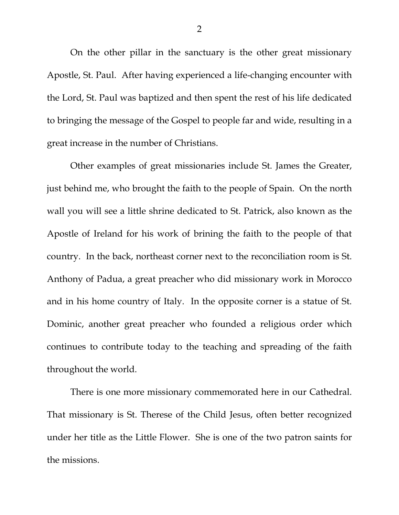On the other pillar in the sanctuary is the other great missionary Apostle, St. Paul. After having experienced a life-changing encounter with the Lord, St. Paul was baptized and then spent the rest of his life dedicated to bringing the message of the Gospel to people far and wide, resulting in a great increase in the number of Christians.

<span id="page-1-0"></span>Other examples of great missionaries include St. James the Greater, just behind me, who brought the faith to the people of Spain. On the north wall you will see a little shrine dedicated to St. Patrick, also known as the Apostle of Ireland for his work of brining the faith to the people of that country. In the back, northeast corner next to the reconciliation room is St. Anthony of Padua, a great preacher who did missionary work in Morocco and in his home country of Italy. In the opposite corner is a statue of St. Dominic, another great preacher who founded a religious order which continues to contribute today to the teaching and spreading of the faith throughout the world.

There is one more missionary commemorated here in our Cathedral. That missionary is St. Therese of the Child Jesus, often better recognized under her title as the Little Flower. She is one of the two patron saints for the missions.

2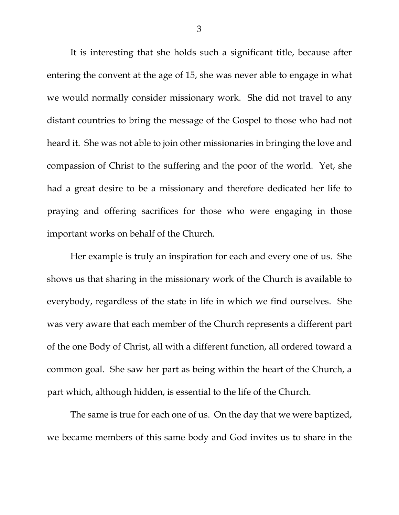It is interesting that she holds such a significant title, because after entering the convent at the age of 15, she was never able to engage in what we would normally consider missionary work. She did not travel to any distant countries to bring the message of the Gospel to those who had not heard it. She was not able to join other missionaries in bringing the love and compassion of Christ to the suffering and the poor of the world. Yet, she had a great desire to be a missionary and therefore dedicated her life to praying and offering sacrifices for those who were engaging in those important works on behalf of the Church.

Her example is truly an inspiration for each and every one of us. She shows us that sharing in the missionary work of the Church is available to everybody, regardless of the state in life in which we find ourselves. She was very aware that each member of the Church represents a different part of the one Body of Christ, all with a different function, all ordered toward a common goal. She saw her part as being within the heart of the Church, a part which, although hidden, is essential to the life of the Church.

The same is true for each one of us. On the day that we were baptized, we became members of this same body and God invites us to share in the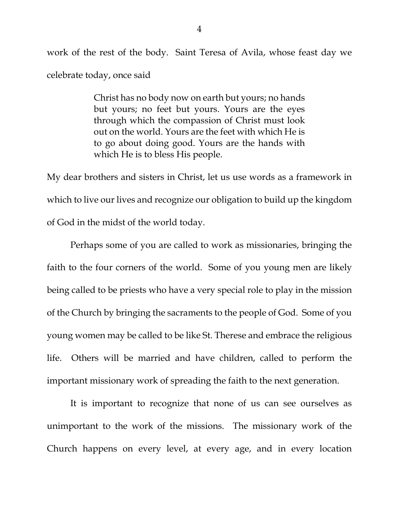work of the rest of the body. Saint Teresa of Avila, whose feast day we celebrate today, once said

> Christ has no body now on earth but yours; no hands but yours; no feet but yours. Yours are the eyes through which the compassion of Christ must look out on the world. Yours are the feet with which He is to go about doing good. Yours are the hands with which He is to bless His people.

My dear brothers and sisters in Christ, let us use words as a framework in which to live our lives and recognize our obligation to build up the kingdom of God in the midst of the world today.

Perhaps some of you are called to work as missionaries, bringing the faith to the four corners of the world. Some of you young men are likely being called to be priests who have a very special role to play in the mission of the Church by bringing the sacraments to the people of God. Some of you young women may be called to be like St. Therese and embrace the religious life. Others will be married and have children, called to perform the important missionary work of spreading the faith to the next generation.

It is important to recognize that none of us can see ourselves as unimportant to the work of the missions. The missionary work of the Church happens on every level, at every age, and in every location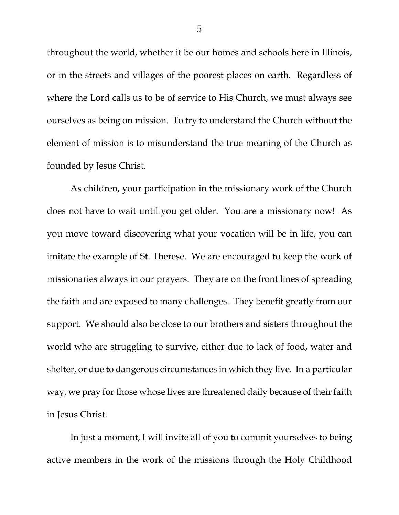throughout the world, whether it be our homes and schools here in Illinois, or in the streets and villages of the poorest places on earth. Regardless of where the Lord calls us to be of service to His Church, we must always see ourselves as being on mission. To try to understand the Church without the element of mission is to misunderstand the true meaning of the Church as founded by Jesus Christ.

As children, your participation in the missionary work of the Church does not have to wait until you get older. You are a missionary now! As you move toward discovering what your vocation will be in life, you can imitate the example of St. Therese. We are encouraged to keep the work of missionaries always in our prayers. They are on the front lines of spreading the faith and are exposed to many challenges. They benefit greatly from our support. We should also be close to our brothers and sisters throughout the world who are struggling to survive, either due to lack of food, water and shelter, or due to dangerous circumstances in which they live. In a particular way, we pray for those whose lives are threatened daily because of their faith in Jesus Christ.

In just a moment, I will invite all of you to commit yourselves to being active members in the work of the missions through the Holy Childhood

5